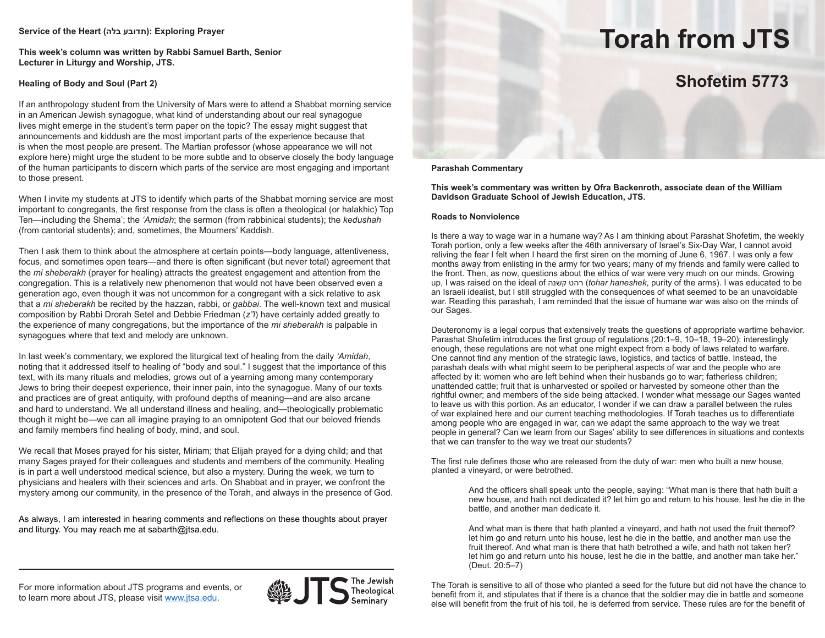### **Service of the Heart (בלה תדובע(: Exploring Prayer**

**This week's column was written by Rabbi Samuel Barth, Senior Lecturer in Liturgy and Worship, JTS.**

# **Healing of Body and Soul (Part 2)**

If an anthropology student from the University of Mars were to attend a Shabbat morning service in an American Jewish synagogue, what kind of understanding about our real synagogue lives might emerge in the student's term paper on the topic? The essay might suggest that announcements and kiddush are the most important parts of the experience because that is when the most people are present. The Martian professor (whose appearance we will not explore here) might urge the student to be more subtle and to observe closely the body language of the human participants to discern which parts of the service are most engaging and important to those present.

When I invite my students at JTS to identify which parts of the Shabbat morning service are most important to congregants, the first response from the class is often a theological (or halakhic) Top Ten—including the Shema'; the *'Amidah*; the sermon (from rabbinical students); the *kedushah* (from cantorial students); and, sometimes, the Mourners' Kaddish.

Then I ask them to think about the atmosphere at certain points—body language, attentiveness, focus, and sometimes open tears—and there is often significant (but never total) agreement that the *mi sheberakh* (prayer for healing) attracts the greatest engagement and attention from the congregation. This is a relatively new phenomenon that would not have been observed even a generation ago, even though it was not uncommon for a congregant with a sick relative to ask that a *mi sheberakh* be recited by the hazzan, rabbi, or *gabbai*. The well-known text and musical composition by Rabbi Drorah Setel and Debbie Friedman (*z"l*) have certainly added greatly to the experience of many congregations, but the importance of the *mi sheberakh* is palpable in synagogues where that text and melody are unknown.

In last week's commentary, we explored the liturgical text of healing from the daily *'Amidah*, noting that it addressed itself to healing of "body and soul." I suggest that the importance of this text, with its many rituals and melodies, grows out of a yearning among many contemporary Jews to bring their deepest experience, their inner pain, into the synagogue. Many of our texts and practices are of great antiquity, with profound depths of meaning—and are also arcane and hard to understand. We all understand illness and healing, and—theologically problematic though it might be—we can all imagine praying to an omnipotent God that our beloved friends and family members find healing of body, mind, and soul.

We recall that Moses prayed for his sister, Miriam; that Elijah prayed for a dying child; and that many Sages prayed for their colleagues and students and members of the community. Healing is in part a well understood medical science, but also a mystery. During the week, we turn to physicians and healers with their sciences and arts. On Shabbat and in prayer, we confront the mystery among our community, in the presence of the Torah, and always in the presence of God.

As always, I am interested in hearing comments and reflections on these thoughts about prayer and liturgy. You may reach me at sabarth@jtsa.edu.

# **Torah from JTS**

# **Shofetim 5773**

# **Parashah Commentary**

**This week's commentary was written by Ofra Backenroth, associate dean of the William Davidson Graduate School of Jewish Education, JTS.**

#### **Roads to Nonviolence**

Is there a way to wage war in a humane way? As I am thinking about Parashat Shofetim, the weekly Torah portion, only a few weeks after the 46th anniversary of Israel's Six-Day War, I cannot avoid reliving the fear I felt when I heard the first siren on the morning of June 6, 1967. I was only a few months away from enlisting in the army for two years; many of my friends and family were called to the front. Then, as now, questions about the ethics of war were very much on our minds. Growing up, I was raised on the ideal of קשנה רהט) *tohar haneshek*, purity of the arms). I was educated to be an Israeli idealist, but I still struggled with the consequences of what seemed to be an unavoidable war. Reading this parashah, I am reminded that the issue of humane war was also on the minds of our Sages.

Deuteronomy is a legal corpus that extensively treats the questions of appropriate wartime behavior. Parashat Shofetim introduces the first group of regulations (20:1–9, 10–18, 19–20); interestingly enough, these regulations are not what one might expect from a body of laws related to warfare. One cannot find any mention of the strategic laws, logistics, and tactics of battle. Instead, the parashah deals with what might seem to be peripheral aspects of war and the people who are affected by it: women who are left behind when their husbands go to war; fatherless children; unattended cattle; fruit that is unharvested or spoiled or harvested by someone other than the rightful owner; and members of the side being attacked. I wonder what message our Sages wanted to leave us with this portion. As an educator, I wonder if we can draw a parallel between the rules of war explained here and our current teaching methodologies. If Torah teaches us to differentiate among people who are engaged in war, can we adapt the same approach to the way we treat people in general? Can we learn from our Sages' ability to see differences in situations and contexts that we can transfer to the way we treat our students?

The first rule defines those who are released from the duty of war: men who built a new house, planted a vineyard, or were betrothed.

> And the officers shall speak unto the people, saying: "What man is there that hath built a new house, and hath not dedicated it? let him go and return to his house, lest he die in the battle, and another man dedicate it.

And what man is there that hath planted a vineyard, and hath not used the fruit thereof? let him go and return unto his house, lest he die in the battle, and another man use the fruit thereof. And what man is there that hath betrothed a wife, and hath not taken her? let him go and return unto his house, lest he die in the battle, and another man take her." (Deut. 20:5–7)

The Torah is sensitive to all of those who planted a seed for the future but did not have the chance to benefit from it, and stipulates that if there is a chance that the soldier may die in battle and someone else will benefit from the fruit of his toil, he is deferred from service. These rules are for the benefit of

For more information about JTS programs and events, or to learn more about JTS, please visit www.jtsa.edu.